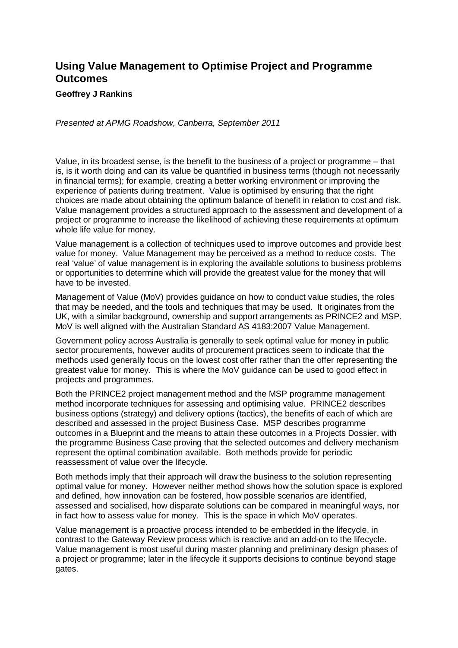## **Using Value Management to Optimise Project and Programme Outcomes**

## **Geoffrey J Rankins**

*Presented at APMG Roadshow, Canberra, September 2011* 

Value, in its broadest sense, is the benefit to the business of a project or programme – that is, is it worth doing and can its value be quantified in business terms (though not necessarily in financial terms); for example, creating a better working environment or improving the experience of patients during treatment. Value is optimised by ensuring that the right choices are made about obtaining the optimum balance of benefit in relation to cost and risk. Value management provides a structured approach to the assessment and development of a project or programme to increase the likelihood of achieving these requirements at optimum whole life value for money.

Value management is a collection of techniques used to improve outcomes and provide best value for money. Value Management may be perceived as a method to reduce costs. The real 'value' of value management is in exploring the available solutions to business problems or opportunities to determine which will provide the greatest value for the money that will have to be invested.

Management of Value (MoV) provides guidance on how to conduct value studies, the roles that may be needed, and the tools and techniques that may be used. It originates from the UK, with a similar background, ownership and support arrangements as PRINCE2 and MSP. MoV is well aligned with the Australian Standard AS 4183:2007 Value Management.

Government policy across Australia is generally to seek optimal value for money in public sector procurements, however audits of procurement practices seem to indicate that the methods used generally focus on the lowest cost offer rather than the offer representing the greatest value for money. This is where the MoV guidance can be used to good effect in projects and programmes.

Both the PRINCE2 project management method and the MSP programme management method incorporate techniques for assessing and optimising value. PRINCE2 describes business options (strategy) and delivery options (tactics), the benefits of each of which are described and assessed in the project Business Case. MSP describes programme outcomes in a Blueprint and the means to attain these outcomes in a Projects Dossier, with the programme Business Case proving that the selected outcomes and delivery mechanism represent the optimal combination available. Both methods provide for periodic reassessment of value over the lifecycle.

Both methods imply that their approach will draw the business to the solution representing optimal value for money. However neither method shows how the solution space is explored and defined, how innovation can be fostered, how possible scenarios are identified, assessed and socialised, how disparate solutions can be compared in meaningful ways, nor in fact how to assess value for money. This is the space in which MoV operates.

Value management is a proactive process intended to be embedded in the lifecycle, in contrast to the Gateway Review process which is reactive and an add-on to the lifecycle. Value management is most useful during master planning and preliminary design phases of a project or programme; later in the lifecycle it supports decisions to continue beyond stage gates.